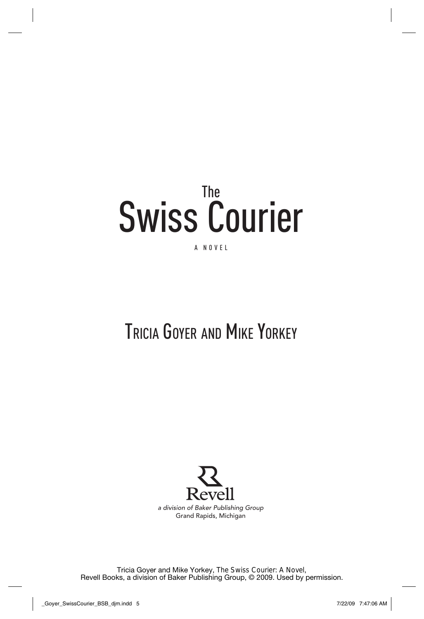# The Swiss Courier

#### A Novel

# Tricia Goyer and Mike Yorkey



Tricia Goyer and Mike Yorkey, *The Swiss Courier: A Novel*, Revell Books, a division of Baker Publishing Group, © 2009. Used by permission.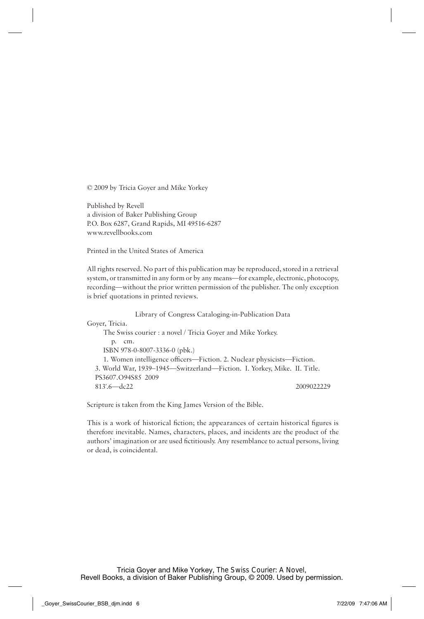© 2009 by Tricia Goyer and Mike Yorkey

Published by Revell a division of Baker Publishing Group P.O. Box 6287, Grand Rapids, MI 49516-6287 www.revellbooks.com

Printed in the United States of America

All rights reserved. No part of this publication may be reproduced, stored in a retrieval system, or transmitted in any form or by any means—for example, electronic, photocopy, recording—without the prior written permission of the publisher. The only exception is brief quotations in printed reviews.

Library of Congress Cataloging-in-Publication Data Goyer, Tricia. The Swiss courier : a novel / Tricia Goyer and Mike Yorkey. p. cm. ISBN 978-0-8007-3336-0 (pbk.) 1. Women intelligence officers—Fiction. 2. Nuclear physicists—Fiction. 3. World War, 1939–1945—Switzerland—Fiction. I. Yorkey, Mike. II. Title. PS3607.O94S85 2009 813 .6—dc22 2009022229

Scripture is taken from the King James Version of the Bible.

This is a work of historical fiction; the appearances of certain historical figures is therefore inevitable. Names, characters, places, and incidents are the product of the authors' imagination or are used fictitiously. Any resemblance to actual persons, living or dead, is coincidental.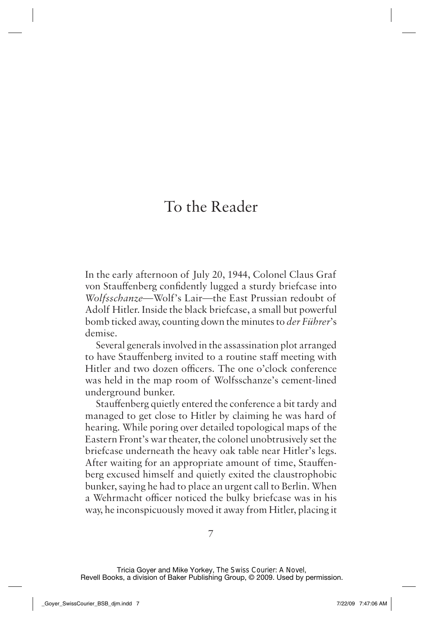## To the Reader

In the early afternoon of July 20, 1944, Colonel Claus Graf von Stauffenberg confidently lugged a sturdy briefcase into *Wolfsschanze*—Wolf's Lair—the East Prussian redoubt of Adolf Hitler. Inside the black briefcase, a small but powerful bomb ticked away, counting down the minutes to *der Führer*'s demise.

Several generals involved in the assassination plot arranged to have Stauffenberg invited to a routine staff meeting with Hitler and two dozen officers. The one o'clock conference was held in the map room of Wolfsschanze's cement-lined underground bunker.

Stauffenberg quietly entered the conference a bit tardy and managed to get close to Hitler by claiming he was hard of hearing. While poring over detailed topological maps of the Eastern Front's war theater, the colonel unobtrusively set the briefcase underneath the heavy oak table near Hitler's legs. After waiting for an appropriate amount of time, Stauffenberg excused himself and quietly exited the claustrophobic bunker, saying he had to place an urgent call to Berlin. When a Wehrmacht officer noticed the bulky briefcase was in his way, he inconspicuously moved it away from Hitler, placing it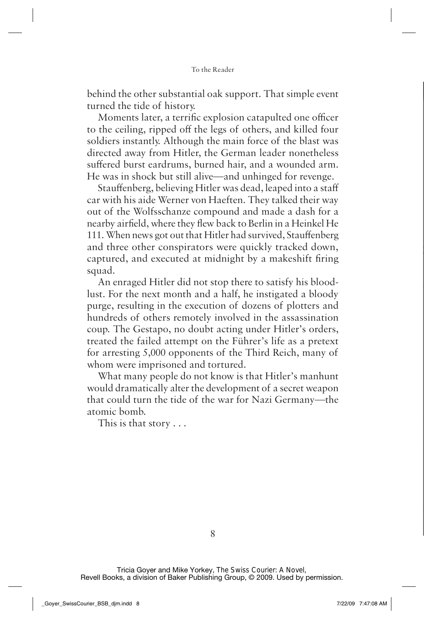behind the other substantial oak support. That simple event turned the tide of history.

Moments later, a terrific explosion catapulted one officer to the ceiling, ripped off the legs of others, and killed four soldiers instantly. Although the main force of the blast was directed away from Hitler, the German leader nonetheless suffered burst eardrums, burned hair, and a wounded arm. He was in shock but still alive—and unhinged for revenge.

Stauffenberg, believing Hitler was dead, leaped into a staff car with his aide Werner von Haeften. They talked their way out of the Wolfsschanze compound and made a dash for a nearby airfield, where they flew back to Berlin in a Heinkel He 111. When news got out that Hitler had survived, Stauffenberg and three other conspirators were quickly tracked down, captured, and executed at midnight by a makeshift firing squad.

An enraged Hitler did not stop there to satisfy his bloodlust. For the next month and a half, he instigated a bloody purge, resulting in the execution of dozens of plotters and hundreds of others remotely involved in the assassination coup. The Gestapo, no doubt acting under Hitler's orders, treated the failed attempt on the Führer's life as a pretext for arresting 5,000 opponents of the Third Reich, many of whom were imprisoned and tortured.

What many people do not know is that Hitler's manhunt would dramatically alter the development of a secret weapon that could turn the tide of the war for Nazi Germany—the atomic bomb.

This is that story . . .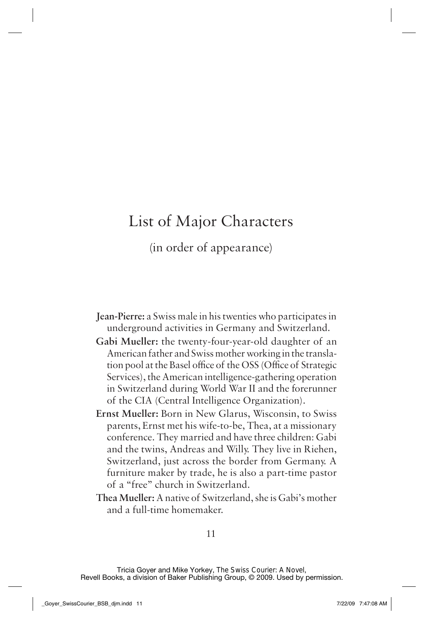### List of Major Characters

(in order of appearance)

- **Jean-Pierre:** a Swiss male in his twenties who participates in underground activities in Germany and Switzerland.
- **Gabi Mueller:** the twenty-four-year-old daughter of an American father and Swiss mother working in the translation pool at the Basel office of the OSS (Office of Strategic Services), the American intelligence-gathering operation in Switzerland during World War II and the forerunner of the CIA (Central Intelligence Organization).
- **Ernst Mueller:** Born in New Glarus, Wisconsin, to Swiss parents, Ernst met his wife-to-be, Thea, at a missionary conference. They married and have three children: Gabi and the twins, Andreas and Willy. They live in Riehen, Switzerland, just across the border from Germany. A furniture maker by trade, he is also a part-time pastor of a "free" church in Switzerland.
- **Thea Mueller:** A native of Switzerland, she is Gabi's mother and a full-time homemaker.

Tricia Goyer and Mike Yorkey, *The Swiss Courier: A Novel*, Revell Books, a division of Baker Publishing Group, © 2009. Used by permission.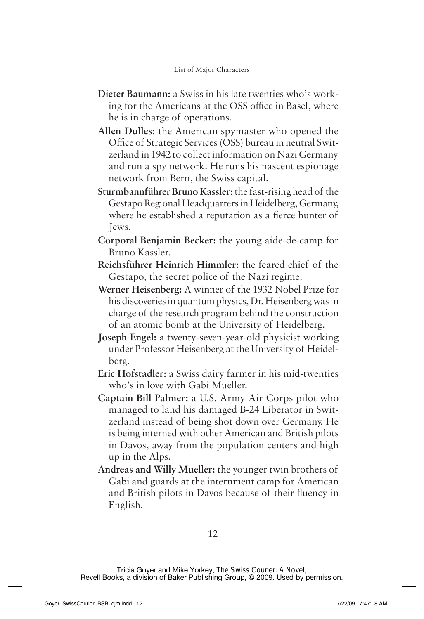- **Dieter Baumann:** a Swiss in his late twenties who's working for the Americans at the OSS office in Basel, where he is in charge of operations.
- **Allen Dulles:** the American spymaster who opened the Office of Strategic Services (OSS) bureau in neutral Switzerland in 1942 to collect information on Nazi Germany and run a spy network. He runs his nascent espionage network from Bern, the Swiss capital.
- **Sturmbannführer Bruno Kassler:** the fast-rising head of the Gestapo Regional Headquarters in Heidelberg, Germany, where he established a reputation as a fierce hunter of Jews.
- **Corporal Benjamin Becker:** the young aide-de-camp for Bruno Kassler.
- **Reichsführer Heinrich Himmler:** the feared chief of the Gestapo, the secret police of the Nazi regime.
- **Werner Heisenberg:** A winner of the 1932 Nobel Prize for his discoveries in quantum physics, Dr. Heisenberg was in charge of the research program behind the construction of an atomic bomb at the University of Heidelberg.
- **Joseph Engel:** a twenty-seven-year-old physicist working under Professor Heisenberg at the University of Heidelberg.
- **Eric Hofstadler:** a Swiss dairy farmer in his mid-twenties who's in love with Gabi Mueller.
- **Captain Bill Palmer:** a U.S. Army Air Corps pilot who managed to land his damaged B-24 Liberator in Switzerland instead of being shot down over Germany. He is being interned with other American and British pilots in Davos, away from the population centers and high up in the Alps.
- **Andreas and Willy Mueller:** the younger twin brothers of Gabi and guards at the internment camp for American and British pilots in Davos because of their fluency in English.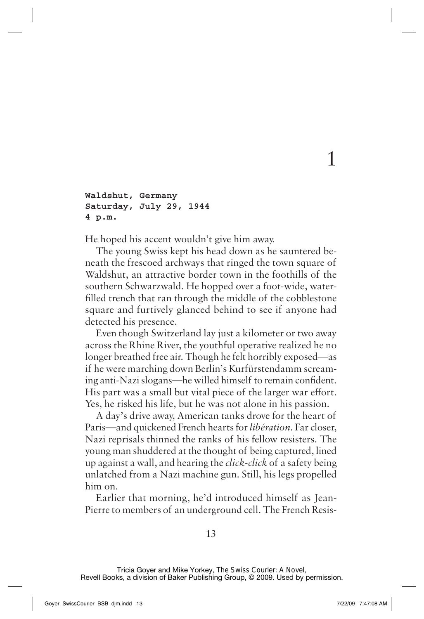```
Waldshut, Germany
Saturday, July 29, 1944
4 p.m.
```
He hoped his accent wouldn't give him away.

The young Swiss kept his head down as he sauntered beneath the frescoed archways that ringed the town square of Waldshut, an attractive border town in the foothills of the southern Schwarzwald. He hopped over a foot-wide, waterfilled trench that ran through the middle of the cobblestone square and furtively glanced behind to see if anyone had detected his presence.

1

Even though Switzerland lay just a kilometer or two away across the Rhine River, the youthful operative realized he no longer breathed free air. Though he felt horribly exposed—as if he were marching down Berlin's Kurfürstendamm screaming anti-Nazi slogans—he willed himself to remain confident. His part was a small but vital piece of the larger war effort. Yes, he risked his life, but he was not alone in his passion.

A day's drive away, American tanks drove for the heart of Paris—and quickened French hearts for *libération*. Far closer, Nazi reprisals thinned the ranks of his fellow resisters. The young man shuddered at the thought of being captured, lined up against a wall, and hearing the *click-click* of a safety being unlatched from a Nazi machine gun. Still, his legs propelled him on.

Earlier that morning, he'd introduced himself as Jean-Pierre to members of an underground cell. The French Resis-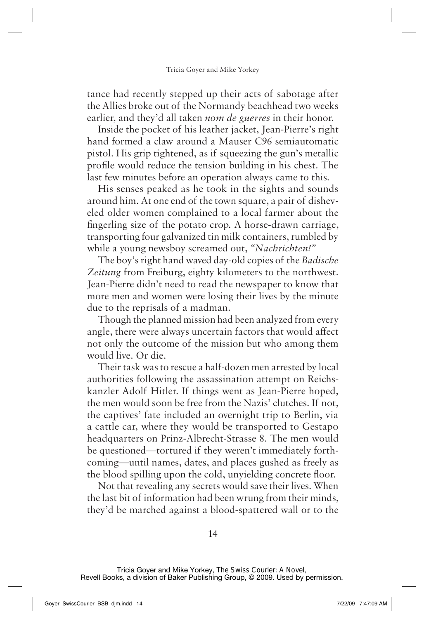tance had recently stepped up their acts of sabotage after the Allies broke out of the Normandy beachhead two weeks earlier, and they'd all taken *nom de guerres* in their honor.

Inside the pocket of his leather jacket, Jean-Pierre's right hand formed a claw around a Mauser C96 semiautomatic pistol. His grip tightened, as if squeezing the gun's metallic profile would reduce the tension building in his chest. The last few minutes before an operation always came to this.

His senses peaked as he took in the sights and sounds around him. At one end of the town square, a pair of disheveled older women complained to a local farmer about the fingerling size of the potato crop. A horse-drawn carriage, transporting four galvanized tin milk containers, rumbled by while a young newsboy screamed out, *"Nachrichten!"*

The boy's right hand waved day-old copies of the *Badische Zeitung* from Freiburg, eighty kilometers to the northwest. Jean-Pierre didn't need to read the newspaper to know that more men and women were losing their lives by the minute due to the reprisals of a madman.

Though the planned mission had been analyzed from every angle, there were always uncertain factors that would affect not only the outcome of the mission but who among them would live. Or die.

Their task was to rescue a half-dozen men arrested by local authorities following the assassination attempt on Reichskanzler Adolf Hitler. If things went as Jean-Pierre hoped, the men would soon be free from the Nazis' clutches. If not, the captives' fate included an overnight trip to Berlin, via a cattle car, where they would be transported to Gestapo headquarters on Prinz-Albrecht-Strasse 8. The men would be questioned—tortured if they weren't immediately forthcoming—until names, dates, and places gushed as freely as the blood spilling upon the cold, unyielding concrete floor.

Not that revealing any secrets would save their lives. When the last bit of information had been wrung from their minds, they'd be marched against a blood-spattered wall or to the

Tricia Goyer and Mike Yorkey, *The Swiss Courier: A Novel*, Revell Books, a division of Baker Publishing Group, © 2009. Used by permission.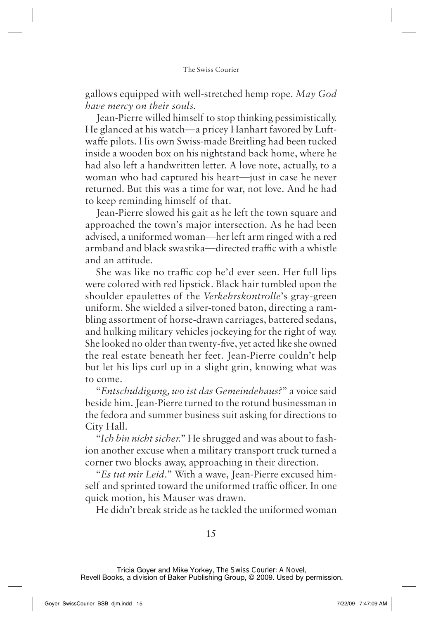gallows equipped with well-stretched hemp rope. *May God have mercy on their souls.*

Jean-Pierre willed himself to stop thinking pessimistically. He glanced at his watch—a pricey Hanhart favored by Luftwaffe pilots. His own Swiss-made Breitling had been tucked inside a wooden box on his nightstand back home, where he had also left a handwritten letter. A love note, actually, to a woman who had captured his heart—just in case he never returned. But this was a time for war, not love. And he had to keep reminding himself of that.

Jean-Pierre slowed his gait as he left the town square and approached the town's major intersection. As he had been advised, a uniformed woman—her left arm ringed with a red armband and black swastika—directed traffic with a whistle and an attitude.

She was like no traffic cop he'd ever seen. Her full lips were colored with red lipstick. Black hair tumbled upon the shoulder epaulettes of the *Verkehrskontrolle*'s gray-green uniform*.* She wielded a silver-toned baton, directing a rambling assortment of horse-drawn carriages, battered sedans, and hulking military vehicles jockeying for the right of way. She looked no older than twenty-five, yet acted like she owned the real estate beneath her feet. Jean-Pierre couldn't help but let his lips curl up in a slight grin, knowing what was to come.

"*Entschuldigung, wo ist das Gemeindehaus?*" a voice said beside him. Jean-Pierre turned to the rotund businessman in the fedora and summer business suit asking for directions to City Hall.

"*Ich bin nicht sicher.*" He shrugged and was about to fashion another excuse when a military transport truck turned a corner two blocks away, approaching in their direction.

"*Es tut mir Leid.*" With a wave, Jean-Pierre excused himself and sprinted toward the uniformed traffic officer. In one quick motion, his Mauser was drawn.

He didn't break stride as he tackled the uniformed woman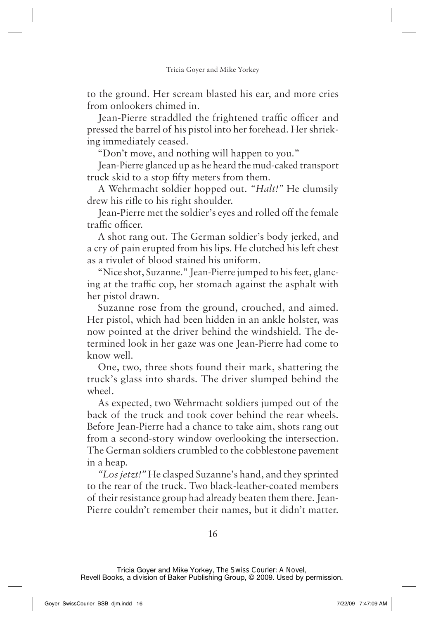to the ground. Her scream blasted his ear, and more cries from onlookers chimed in.

Jean-Pierre straddled the frightened traffic officer and pressed the barrel of his pistol into her forehead. Her shrieking immediately ceased.

"Don't move, and nothing will happen to you."

Jean-Pierre glanced up as he heard the mud-caked transport truck skid to a stop fifty meters from them.

A Wehrmacht soldier hopped out. *"Halt!"* He clumsily drew his rifle to his right shoulder.

Jean-Pierre met the soldier's eyes and rolled off the female traffic officer.

A shot rang out. The German soldier's body jerked, and a cry of pain erupted from his lips. He clutched his left chest as a rivulet of blood stained his uniform.

"Nice shot, Suzanne." Jean-Pierre jumped to his feet, glancing at the traffic cop, her stomach against the asphalt with her pistol drawn.

Suzanne rose from the ground, crouched, and aimed. Her pistol, which had been hidden in an ankle holster, was now pointed at the driver behind the windshield. The determined look in her gaze was one Jean-Pierre had come to know well.

One, two, three shots found their mark, shattering the truck's glass into shards. The driver slumped behind the wheel.

As expected, two Wehrmacht soldiers jumped out of the back of the truck and took cover behind the rear wheels. Before Jean-Pierre had a chance to take aim, shots rang out from a second-story window overlooking the intersection. The German soldiers crumbled to the cobblestone pavement in a heap.

*"Los jetzt!"* He clasped Suzanne's hand, and they sprinted to the rear of the truck. Two black-leather-coated members of their resistance group had already beaten them there. Jean-Pierre couldn't remember their names, but it didn't matter.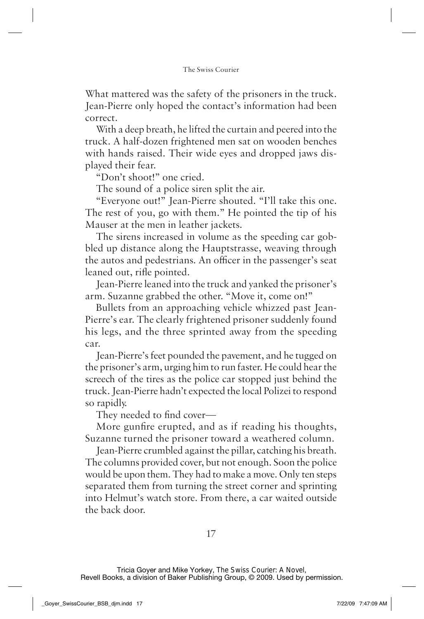What mattered was the safety of the prisoners in the truck. Jean-Pierre only hoped the contact's information had been correct.

With a deep breath, he lifted the curtain and peered into the truck. A half-dozen frightened men sat on wooden benches with hands raised. Their wide eyes and dropped jaws displayed their fear.

"Don't shoot!" one cried.

The sound of a police siren split the air.

"Everyone out!" Jean-Pierre shouted. "I'll take this one. The rest of you, go with them." He pointed the tip of his Mauser at the men in leather jackets.

The sirens increased in volume as the speeding car gobbled up distance along the Hauptstrasse, weaving through the autos and pedestrians. An officer in the passenger's seat leaned out, rifle pointed.

Jean-Pierre leaned into the truck and yanked the prisoner's arm. Suzanne grabbed the other. "Move it, come on!"

Bullets from an approaching vehicle whizzed past Jean-Pierre's ear. The clearly frightened prisoner suddenly found his legs, and the three sprinted away from the speeding car.

Jean-Pierre's feet pounded the pavement, and he tugged on the prisoner's arm, urging him to run faster. He could hear the screech of the tires as the police car stopped just behind the truck. Jean-Pierre hadn't expected the local Polizei to respond so rapidly.

They needed to find cover—

More gunfire erupted, and as if reading his thoughts, Suzanne turned the prisoner toward a weathered column.

Jean-Pierre crumbled against the pillar, catching his breath. The columns provided cover, but not enough. Soon the police would be upon them. They had to make a move. Only ten steps separated them from turning the street corner and sprinting into Helmut's watch store. From there, a car waited outside the back door.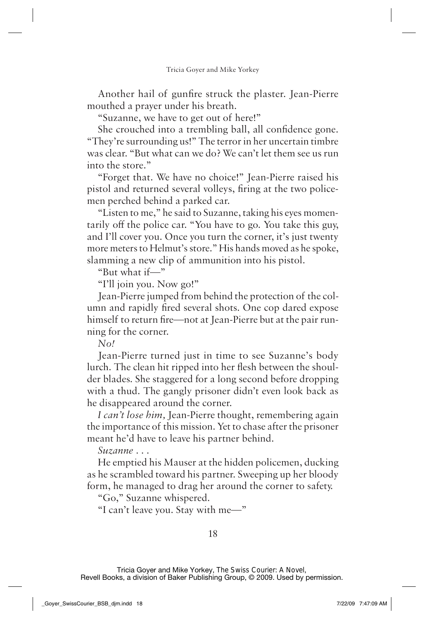Another hail of gunfire struck the plaster. Jean-Pierre mouthed a prayer under his breath.

"Suzanne, we have to get out of here!"

She crouched into a trembling ball, all confidence gone. "They're surrounding us!" The terror in her uncertain timbre was clear. "But what can we do? We can't let them see us run into the store."

"Forget that. We have no choice!" Jean-Pierre raised his pistol and returned several volleys, firing at the two policemen perched behind a parked car.

"Listen to me," he said to Suzanne, taking his eyes momentarily off the police car. "You have to go. You take this guy, and I'll cover you. Once you turn the corner, it's just twenty more meters to Helmut's store." His hands moved as he spoke, slamming a new clip of ammunition into his pistol.

"But what if—"

"I'll join you. Now go!"

Jean-Pierre jumped from behind the protection of the column and rapidly fired several shots. One cop dared expose himself to return fire—not at Jean-Pierre but at the pair running for the corner.

*No!*

Jean-Pierre turned just in time to see Suzanne's body lurch. The clean hit ripped into her flesh between the shoulder blades. She staggered for a long second before dropping with a thud. The gangly prisoner didn't even look back as he disappeared around the corner.

*I can't lose him,* Jean-Pierre thought, remembering again the importance of this mission. Yet to chase after the prisoner meant he'd have to leave his partner behind.

*Suzanne . . .*

He emptied his Mauser at the hidden policemen, ducking as he scrambled toward his partner. Sweeping up her bloody form, he managed to drag her around the corner to safety.

"Go," Suzanne whispered.

"I can't leave you. Stay with me—"